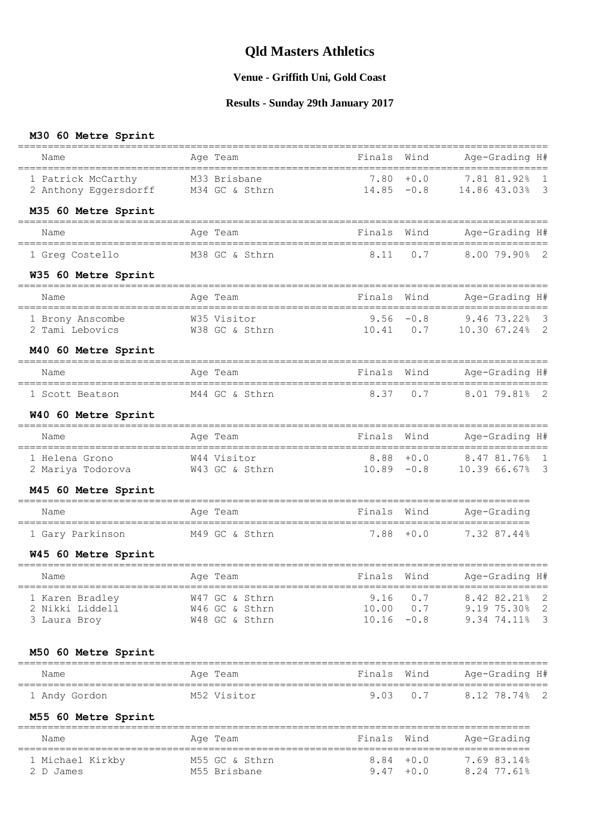#### **Venue - Griffith Uni, Gold Coast**

#### **Results - Sunday 29th January 2017**

#### **M30 60 Metre Sprint**

|                                                            |                                 |                       |               | =====================                                        |                              |
|------------------------------------------------------------|---------------------------------|-----------------------|---------------|--------------------------------------------------------------|------------------------------|
| Name                                                       | Age Team                        | Finals                | Wind          | Age-Grading H#<br>===================                        |                              |
| 1 Patrick McCarthy<br>2 Anthony Eggersdorff M34 GC & Sthrn | M33 Brisbane                    | 7.80<br>$14.85 - 0.8$ | $+0.0$        | 7.81 81.92%<br>14.86 43.03%                                  | 1<br>$\overline{\mathbf{3}}$ |
| M35 60 Metre Sprint                                        |                                 |                       |               |                                                              |                              |
| Name                                                       | Age Team                        | Finals                | Wind          | Age-Grading H#                                               |                              |
| 1 Greg Costello                                            | M38 GC & Sthrn                  | 8.11                  | 0.7           | $8.0079.90\%$ 2                                              |                              |
| W35 60 Metre Sprint                                        |                                 |                       |               |                                                              |                              |
| Name                                                       | Age Team                        | Finals                | Wind          | Age-Grading H#                                               |                              |
| 1 Brony Anscombe<br>2 Tami Lebovics                        | W35 Visitor<br>W38 GC & Sthrn   |                       |               | $9.56 -0.8$ 9.46 73.22% 3<br>$10.41$ 0.7 $10.30$ 67.24% 2    |                              |
| M40 60 Metre Sprint                                        |                                 |                       |               |                                                              |                              |
| ======================                                     | ============                    |                       |               |                                                              |                              |
| Name                                                       | Age Team                        | Finals Wind           |               | Age-Grading H#                                               |                              |
| 1 Scott Beatson                                            | M44 GC & Sthrn                  | 8.37                  | 0.7           | 8.01 79.81% 2                                                |                              |
| W40 60 Metre Sprint                                        |                                 |                       |               |                                                              |                              |
| Name                                                       | Age Team                        | Finals                | Wind          | Age-Grading H#                                               |                              |
| 1 Helena Grono                                             | W44 Visitor                     |                       |               | $8.88 + 0.0$ $8.47 81.76$ $1$<br>$10.89 -0.8$ 10.39 66.67% 3 |                              |
| M45 60 Metre Sprint                                        |                                 |                       |               |                                                              |                              |
| Name                                                       | Age Team                        | Finals Wind           |               | ------------------<br>Age-Grading                            |                              |
| 1 Gary Parkinson M49 GC & Sthrn                            |                                 |                       |               | 7.88 +0.0 7.32 87.44%                                        |                              |
| W45 60 Metre Sprint                                        |                                 |                       |               |                                                              |                              |
| Name                                                       | Age Team                        | Finals Wind           |               | Age-Grading H#                                               |                              |
| 1 Karen Bradley                                            | W47 GC & Sthrn                  | 9.16                  | 0.7           | 8.42 82.21%                                                  | $\overline{\phantom{0}}^2$   |
| 2 Nikki Liddell                                            | W46 GC & Sthrn                  |                       |               | 10.00  0.7  9.19  75.30%  2                                  |                              |
| 3 Laura Broy                                               | W48 GC & Sthrn                  |                       | $10.16 - 0.8$ | 9.34 74.11%                                                  | $\overline{\mathbf{3}}$      |
| M50 60 Metre Sprint                                        |                                 |                       |               |                                                              |                              |
| Name                                                       | Age Team                        | Finals Wind           |               | Age-Grading H#                                               |                              |
| 1 Andy Gordon                                              | ================<br>M52 Visitor | 9.03                  | 0.7           | =======================<br>8.12 78.74% 2                     |                              |
| M55 60 Metre Sprint                                        |                                 |                       |               |                                                              |                              |
| Name                                                       | Age Team                        | Finals Wind           |               | Age-Grading                                                  |                              |
| 1 Michael Kirkby<br>2 D James                              | M55 GC & Sthrn<br>M55 Brisbane  |                       | $8.84 + 0.0$  | 7.69 83.14%<br>$9.47 + 0.0$ 8.24 77.61%                      |                              |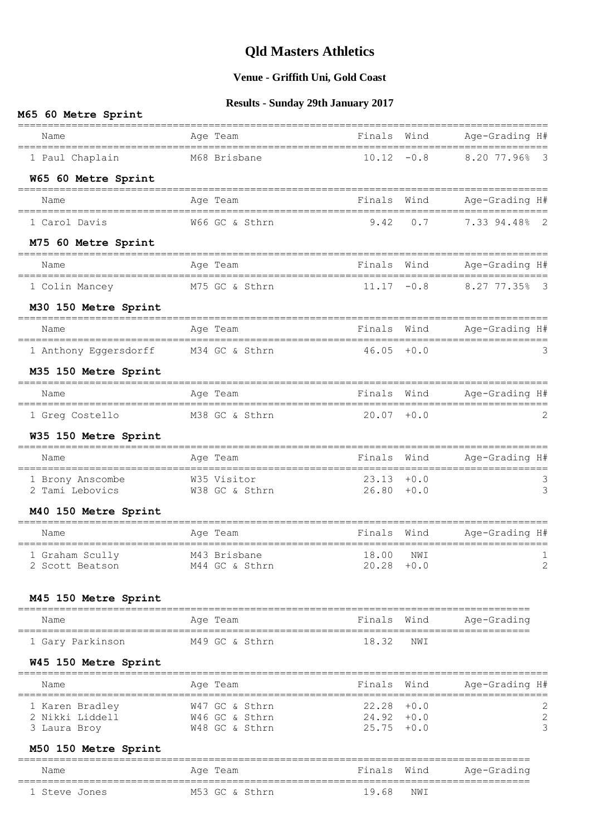## **Venue - Griffith Uni, Gold Coast**

#### **Results - Sunday 29th January 2017**

#### **M65 60 Metre Sprint**

| M65 60 Metre Sprint                                     |                                  |                                |       |                                           |
|---------------------------------------------------------|----------------------------------|--------------------------------|-------|-------------------------------------------|
| Name                                                    | Age Team                         | Finals                         | Wind  | Age-Grading H#                            |
| 1 Paul Chaplain                                         | M68 Brisbane                     | $10.12 - 0.8$                  |       | 8.20 77.96%<br>$\overline{\mathbf{3}}$    |
| W65 60 Metre Sprint<br>=====================            | ===============                  |                                |       |                                           |
| Name                                                    | Age Team                         |                                |       | Finals Wind Age-Grading H#                |
| 1 Carol Davis                                           | W66 GC & Sthrn                   | 9.42                           | $0.7$ | 7.33 94.48% 2                             |
| M75 60 Metre Sprint                                     |                                  |                                |       |                                           |
| Name                                                    | Age Team                         | Finals                         | Wind  | Age-Grading H#                            |
| 1 Colin Mancey                                          | M75 GC & Sthrn                   | $11.17 - 0.8$                  |       | 8.27 77.35% 3                             |
| M30 150 Metre Sprint                                    |                                  |                                |       |                                           |
| Name                                                    | Age Team                         | Finals Wind                    |       | Age-Grading H#                            |
| 1 Anthony Eggersdorff M34 GC & Sthrn                    |                                  | $46.05 + 0.0$                  |       | 3                                         |
| M35 150 Metre Sprint                                    |                                  |                                |       |                                           |
| Name                                                    | Age Team                         | Finals                         | Wind  | Age-Grading H#                            |
| 1 Greg Costello                                         | M38 GC & Sthrn                   | $20.07 + 0.0$                  |       | 2                                         |
| W35 150 Metre Sprint<br>_______________________________ |                                  |                                |       |                                           |
| Name                                                    | Age Team                         | Finals Wind                    |       | -----------------------<br>Age-Grading H# |
| 1 Brony Anscombe<br>2 Tami Lebovics                     | W35 Visitor<br>W38 GC & Sthrn    | $23.13 + 0.0$<br>$26.80 + 0.0$ |       | 3<br>3                                    |
| M40 150 Metre Sprint<br>=======================         |                                  |                                |       |                                           |
| Name                                                    | Age Team                         | Finals                         | Wind  | Age-Grading H#                            |
| 1 Graham Scully<br>2 Scott Beatson                      | M43 Brisbane<br>M44 GC & Sthrn   | 18.00<br>$20.28 + 0.0$         | NWI   | 1<br>2                                    |
| M45 150 Metre Sprint                                    |                                  |                                |       |                                           |
| Name                                                    | Age Team                         | Finals Wind                    |       | Age-Grading                               |
| 1 Gary Parkinson                                        | M49 GC & Sthrn                   | 18.32                          | NWI   |                                           |
| W45 150 Metre Sprint                                    |                                  |                                |       |                                           |
| Name                                                    | Aqe Team                         | Finals Wind                    |       | Age-Grading H#                            |
| ===================================<br>1 Karen Bradley  | W47 GC & Sthrn                   | $22.28 + 0.0$                  |       | 2                                         |
| 2 Nikki Liddell<br>3 Laura Broy                         | W46 GC & Sthrn<br>W48 GC & Sthrn | $24.92 + 0.0$<br>$25.75 + 0.0$ |       | $\mathbf{2}$<br>3                         |
| M50 150 Metre Sprint                                    |                                  |                                |       |                                           |
| Name                                                    | Age Team                         | Finals Wind                    |       | Age-Grading                               |
| 1 Steve Jones                                           | M53 GC & Sthrn                   | 19.68                          | NWI   |                                           |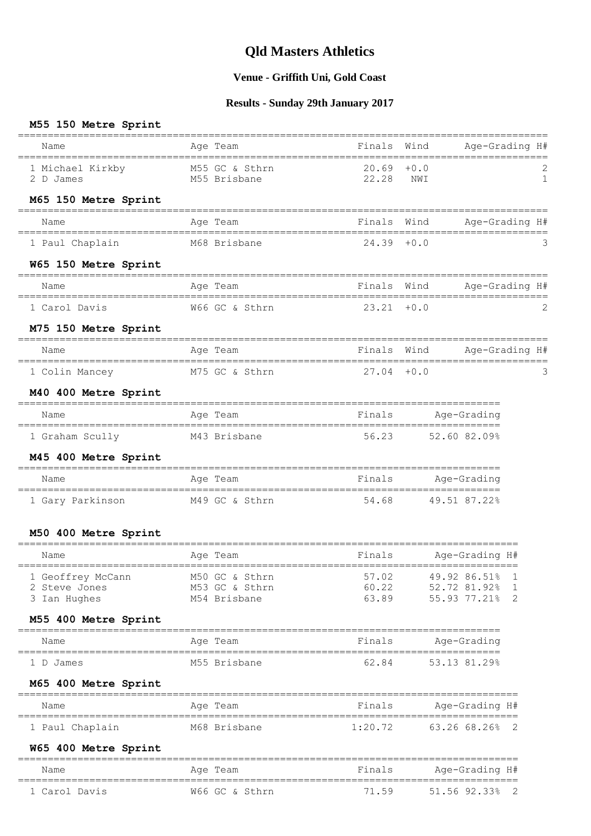## **Venue - Griffith Uni, Gold Coast**

## **Results - Sunday 29th January 2017**

#### **M55 150 Metre Sprint**

| Finals Wind Age-Grading H#<br>Name<br>Age Team<br>1 Michael Kirkby M55 GC & Sthrn 20.69 +0.0<br>22.28<br>2 D James<br>M55 Brisbane<br>NWI<br>M65 150 Metre Sprint<br>Finals Wind<br>Age-Grading H#<br>Age Team<br>Name<br>M68 Brisbane 24.39 +0.0<br>1 Paul Chaplain<br>W65 150 Metre Sprint<br>==================================<br>Finals Wind<br>Age-Grading H#<br>Age Team<br>Name<br>W66 GC & Sthrn<br>$23.21 + 0.0$<br>1 Carol Davis<br>M75 150 Metre Sprint<br>Age Team Tinals Wind Age-Grading H#<br>Name<br>1 Colin Mancey M75 GC & Sthrn<br>$27.04 + 0.0$<br>M40 400 Metre Sprint<br>Finals<br>Age Team<br>Age-Grading<br>Name<br>56.23 52.60 82.09%<br>M43 Brisbane<br>1 Graham Scully<br>M45 400 Metre Sprint<br>=====================<br>Finals Age-Grading<br>Name<br>Age Team<br>==============================<br>1 Gary Parkinson M49 GC & Sthrn 54.68 49.51 87.22%<br>M50 400 Metre Sprint<br>Name Magnetic Age Team Finals Age-Grading $H#$ $\overline{F}$<br>1 Geoffrey McCann M50 GC & Sthrn 57.02 49.92 86.51% 1<br>60.22<br>52.72 81.92% 1<br>2 Steve Jones<br>M53 GC & Sthrn<br>63.89<br>55.93 77.21% 2<br>3 Ian Hughes<br>M54 Brisbane<br>M55 400 Metre Sprint<br>=======================<br>Finals<br>Age-Grading<br>Name<br>Age Team<br>62.84<br>53.13 81.29%<br>M55 Brisbane<br>1 D James<br>M65 400 Metre Sprint<br>Finals<br>Age-Grading H#<br>Age Team<br>Name<br>1:20.72<br>1 Paul Chaplain<br>M68 Brisbane<br>63.26 68.26% 2<br>W65 400 Metre Sprint<br>Age Team<br>Finals<br>Age-Grading H#<br>Name<br>71.59<br>1 Carol Davis<br>W66 GC & Sthrn<br>51.56 92.33% 2 |  |  |                                  |
|------------------------------------------------------------------------------------------------------------------------------------------------------------------------------------------------------------------------------------------------------------------------------------------------------------------------------------------------------------------------------------------------------------------------------------------------------------------------------------------------------------------------------------------------------------------------------------------------------------------------------------------------------------------------------------------------------------------------------------------------------------------------------------------------------------------------------------------------------------------------------------------------------------------------------------------------------------------------------------------------------------------------------------------------------------------------------------------------------------------------------------------------------------------------------------------------------------------------------------------------------------------------------------------------------------------------------------------------------------------------------------------------------------------------------------------------------------------------------------------------------------------------------------------------------------------------------------------------------|--|--|----------------------------------|
|                                                                                                                                                                                                                                                                                                                                                                                                                                                                                                                                                                                                                                                                                                                                                                                                                                                                                                                                                                                                                                                                                                                                                                                                                                                                                                                                                                                                                                                                                                                                                                                                      |  |  |                                  |
|                                                                                                                                                                                                                                                                                                                                                                                                                                                                                                                                                                                                                                                                                                                                                                                                                                                                                                                                                                                                                                                                                                                                                                                                                                                                                                                                                                                                                                                                                                                                                                                                      |  |  | $\overline{c}$<br>$\overline{1}$ |
|                                                                                                                                                                                                                                                                                                                                                                                                                                                                                                                                                                                                                                                                                                                                                                                                                                                                                                                                                                                                                                                                                                                                                                                                                                                                                                                                                                                                                                                                                                                                                                                                      |  |  |                                  |
|                                                                                                                                                                                                                                                                                                                                                                                                                                                                                                                                                                                                                                                                                                                                                                                                                                                                                                                                                                                                                                                                                                                                                                                                                                                                                                                                                                                                                                                                                                                                                                                                      |  |  |                                  |
|                                                                                                                                                                                                                                                                                                                                                                                                                                                                                                                                                                                                                                                                                                                                                                                                                                                                                                                                                                                                                                                                                                                                                                                                                                                                                                                                                                                                                                                                                                                                                                                                      |  |  |                                  |
|                                                                                                                                                                                                                                                                                                                                                                                                                                                                                                                                                                                                                                                                                                                                                                                                                                                                                                                                                                                                                                                                                                                                                                                                                                                                                                                                                                                                                                                                                                                                                                                                      |  |  |                                  |
|                                                                                                                                                                                                                                                                                                                                                                                                                                                                                                                                                                                                                                                                                                                                                                                                                                                                                                                                                                                                                                                                                                                                                                                                                                                                                                                                                                                                                                                                                                                                                                                                      |  |  |                                  |
|                                                                                                                                                                                                                                                                                                                                                                                                                                                                                                                                                                                                                                                                                                                                                                                                                                                                                                                                                                                                                                                                                                                                                                                                                                                                                                                                                                                                                                                                                                                                                                                                      |  |  | 2                                |
|                                                                                                                                                                                                                                                                                                                                                                                                                                                                                                                                                                                                                                                                                                                                                                                                                                                                                                                                                                                                                                                                                                                                                                                                                                                                                                                                                                                                                                                                                                                                                                                                      |  |  |                                  |
|                                                                                                                                                                                                                                                                                                                                                                                                                                                                                                                                                                                                                                                                                                                                                                                                                                                                                                                                                                                                                                                                                                                                                                                                                                                                                                                                                                                                                                                                                                                                                                                                      |  |  |                                  |
|                                                                                                                                                                                                                                                                                                                                                                                                                                                                                                                                                                                                                                                                                                                                                                                                                                                                                                                                                                                                                                                                                                                                                                                                                                                                                                                                                                                                                                                                                                                                                                                                      |  |  |                                  |
|                                                                                                                                                                                                                                                                                                                                                                                                                                                                                                                                                                                                                                                                                                                                                                                                                                                                                                                                                                                                                                                                                                                                                                                                                                                                                                                                                                                                                                                                                                                                                                                                      |  |  |                                  |
|                                                                                                                                                                                                                                                                                                                                                                                                                                                                                                                                                                                                                                                                                                                                                                                                                                                                                                                                                                                                                                                                                                                                                                                                                                                                                                                                                                                                                                                                                                                                                                                                      |  |  |                                  |
|                                                                                                                                                                                                                                                                                                                                                                                                                                                                                                                                                                                                                                                                                                                                                                                                                                                                                                                                                                                                                                                                                                                                                                                                                                                                                                                                                                                                                                                                                                                                                                                                      |  |  |                                  |
|                                                                                                                                                                                                                                                                                                                                                                                                                                                                                                                                                                                                                                                                                                                                                                                                                                                                                                                                                                                                                                                                                                                                                                                                                                                                                                                                                                                                                                                                                                                                                                                                      |  |  |                                  |
|                                                                                                                                                                                                                                                                                                                                                                                                                                                                                                                                                                                                                                                                                                                                                                                                                                                                                                                                                                                                                                                                                                                                                                                                                                                                                                                                                                                                                                                                                                                                                                                                      |  |  |                                  |
|                                                                                                                                                                                                                                                                                                                                                                                                                                                                                                                                                                                                                                                                                                                                                                                                                                                                                                                                                                                                                                                                                                                                                                                                                                                                                                                                                                                                                                                                                                                                                                                                      |  |  |                                  |
|                                                                                                                                                                                                                                                                                                                                                                                                                                                                                                                                                                                                                                                                                                                                                                                                                                                                                                                                                                                                                                                                                                                                                                                                                                                                                                                                                                                                                                                                                                                                                                                                      |  |  |                                  |
|                                                                                                                                                                                                                                                                                                                                                                                                                                                                                                                                                                                                                                                                                                                                                                                                                                                                                                                                                                                                                                                                                                                                                                                                                                                                                                                                                                                                                                                                                                                                                                                                      |  |  |                                  |
|                                                                                                                                                                                                                                                                                                                                                                                                                                                                                                                                                                                                                                                                                                                                                                                                                                                                                                                                                                                                                                                                                                                                                                                                                                                                                                                                                                                                                                                                                                                                                                                                      |  |  |                                  |
|                                                                                                                                                                                                                                                                                                                                                                                                                                                                                                                                                                                                                                                                                                                                                                                                                                                                                                                                                                                                                                                                                                                                                                                                                                                                                                                                                                                                                                                                                                                                                                                                      |  |  |                                  |
|                                                                                                                                                                                                                                                                                                                                                                                                                                                                                                                                                                                                                                                                                                                                                                                                                                                                                                                                                                                                                                                                                                                                                                                                                                                                                                                                                                                                                                                                                                                                                                                                      |  |  |                                  |
|                                                                                                                                                                                                                                                                                                                                                                                                                                                                                                                                                                                                                                                                                                                                                                                                                                                                                                                                                                                                                                                                                                                                                                                                                                                                                                                                                                                                                                                                                                                                                                                                      |  |  |                                  |
|                                                                                                                                                                                                                                                                                                                                                                                                                                                                                                                                                                                                                                                                                                                                                                                                                                                                                                                                                                                                                                                                                                                                                                                                                                                                                                                                                                                                                                                                                                                                                                                                      |  |  |                                  |
|                                                                                                                                                                                                                                                                                                                                                                                                                                                                                                                                                                                                                                                                                                                                                                                                                                                                                                                                                                                                                                                                                                                                                                                                                                                                                                                                                                                                                                                                                                                                                                                                      |  |  |                                  |
|                                                                                                                                                                                                                                                                                                                                                                                                                                                                                                                                                                                                                                                                                                                                                                                                                                                                                                                                                                                                                                                                                                                                                                                                                                                                                                                                                                                                                                                                                                                                                                                                      |  |  |                                  |
|                                                                                                                                                                                                                                                                                                                                                                                                                                                                                                                                                                                                                                                                                                                                                                                                                                                                                                                                                                                                                                                                                                                                                                                                                                                                                                                                                                                                                                                                                                                                                                                                      |  |  |                                  |
|                                                                                                                                                                                                                                                                                                                                                                                                                                                                                                                                                                                                                                                                                                                                                                                                                                                                                                                                                                                                                                                                                                                                                                                                                                                                                                                                                                                                                                                                                                                                                                                                      |  |  |                                  |
|                                                                                                                                                                                                                                                                                                                                                                                                                                                                                                                                                                                                                                                                                                                                                                                                                                                                                                                                                                                                                                                                                                                                                                                                                                                                                                                                                                                                                                                                                                                                                                                                      |  |  |                                  |
|                                                                                                                                                                                                                                                                                                                                                                                                                                                                                                                                                                                                                                                                                                                                                                                                                                                                                                                                                                                                                                                                                                                                                                                                                                                                                                                                                                                                                                                                                                                                                                                                      |  |  |                                  |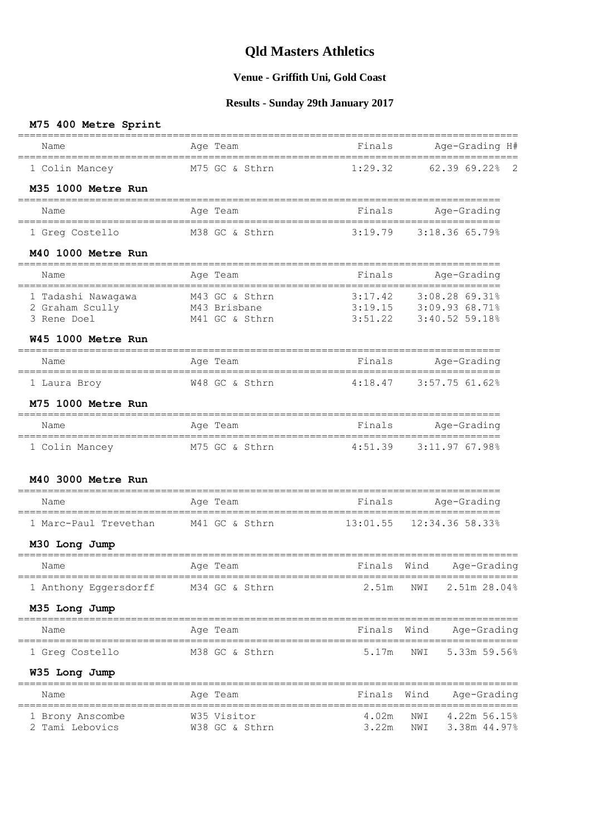## **Venue - Griffith Uni, Gold Coast**

## **Results - Sunday 29th January 2017**

| M75 400 Metre Sprint                                          |                                | ===========                         |                                            |
|---------------------------------------------------------------|--------------------------------|-------------------------------------|--------------------------------------------|
| Name<br>___________________________________                   | Age Team                       | Finals<br>_________________________ | Age-Grading H#<br>------------             |
| 1 Colin Mancey                                                | M75 GC & Sthrn                 | 1:29.32                             | 62.3969.22<br>$\overline{2}$               |
| M35 1000 Metre Run                                            |                                |                                     |                                            |
| Name                                                          | Age Team                       | Finals                              | Age-Grading                                |
| 1 Greq Costello                                               | M38 GC & Sthrn                 | 3:19.79                             | 3:18.36 65.79%                             |
| M40 1000 Metre Run                                            |                                |                                     |                                            |
| Name                                                          | Age Team<br>==========         | Finals                              | Age-Grading                                |
| 1 Tadashi Nawagawa<br>2 Graham Scully                         | M43 GC & Sthrn<br>M43 Brisbane | 3:17.42<br>3:19.15                  | 3:08.2869.31%<br>3:09.93 68.71%            |
| 3 Rene Doel                                                   | M41 GC & Sthrn                 | 3:51.22                             | 3:40.52 59.18%                             |
| W45 1000 Metre Run                                            |                                |                                     |                                            |
| Name<br>================================                      | Age Team                       | Finals<br>_____________________     | Age-Grading<br>===========                 |
| 1 Laura Broy                                                  | W48 GC & Sthrn                 | 4:18.47                             | 3:57.7561.62                               |
| M75 1000 Metre Run                                            |                                |                                     |                                            |
| Name                                                          | Age Team                       | Finals                              | Age-Grading                                |
| 1 Colin Mancey                                                | M75 GC & Sthrn                 | 4:51.39                             | 3:11.97 67.98%                             |
| M40 3000 Metre Run                                            |                                |                                     | =============================              |
| Name                                                          | Age Team                       | Finals                              | Age-Grading                                |
| 1 Marc-Paul Trevethan                                         | M41 GC & Sthrn                 |                                     | $13:01.55$ $12:34.36$ 58.33%               |
| M30 Long Jump                                                 |                                |                                     |                                            |
| Name                                                          | Age Team                       | Fınals                              | Wınd<br>Age-Grading                        |
| ____________________________________<br>1 Anthony Eggersdorff | M34 GC & Sthrn                 | 2.51m                               | NWI<br>2.51m 28.04%                        |
| M35 Long Jump<br>=====================                        |                                |                                     |                                            |
| Name                                                          | Age Team                       | Finals Wind                         | Age-Grading                                |
| 1 Greg Costello                                               | M38 GC & Sthrn                 | 5.17m                               | 5.33m 59.56%<br>NWI                        |
| W35 Long Jump                                                 |                                |                                     |                                            |
| Name                                                          | Age Team                       | Finals                              | Wind<br>Age-Grading                        |
| 1 Brony Anscombe<br>2 Tami Lebovics                           | W35 Visitor<br>W38 GC & Sthrn  | 4.02m<br>3.22m                      | NWI<br>4.22m 56.15%<br>NWI<br>3.38m 44.97% |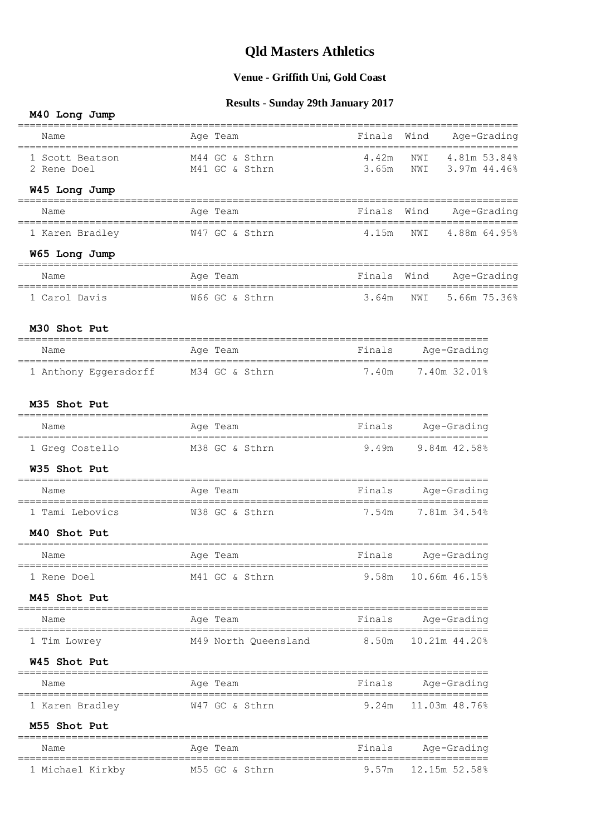## **Venue - Griffith Uni, Gold Coast**

## **Results - Sunday 29th January 2017**

#### **M40 Long Jump**

| Name             | Age Team                                                | Finals                  | Wind<br>Age-Grading                                |
|------------------|---------------------------------------------------------|-------------------------|----------------------------------------------------|
| 1 Scott Beatson  | M44 GC & Sthrn                                          | 4.42m                   | NWI<br>4.81m 53.84%                                |
| 2 Rene Doel      | M41 GC & Sthrn                                          | 3.65m                   | 3.97m 44.46%<br>NWI                                |
| W45 Long Jump    |                                                         |                         |                                                    |
| Name             | Age Team                                                |                         | Finals Wind Age-Grading                            |
| 1 Karen Bradley  | W47 GC & Sthrn                                          |                         | 4.15m NWI 4.88m 64.95%                             |
| W65 Long Jump    |                                                         |                         |                                                    |
| Name             | Age Team                                                |                         | Finals Wind Age-Grading                            |
| 1 Carol Davis    | W66 GC & Sthrn                                          | 3.64m                   | 5.66m 75.36%<br>NWI                                |
| M30 Shot Put     |                                                         |                         |                                                    |
| Name             | Age Team                                                | <b>Example 1</b> Finals | ___________________________________<br>Age-Grading |
|                  | 1 Anthony Eggersdorff M34 GC & Sthrn 7.40m 7.40m 32.01% |                         | ===================                                |
| M35 Shot Put     |                                                         |                         |                                                    |
| Name             | Age Team                                                |                         | Finals Age-Grading                                 |
| 1 Greg Costello  | M38 GC & Sthrn                                          |                         | 9.49m 9.84m 42.58%                                 |
| W35 Shot Put     |                                                         |                         |                                                    |
| Name             | Age Team                                                |                         | Finals Age-Grading                                 |
| 1 Tami Lebovics  | W38 GC & Sthrn                                          |                         | 7.54m 7.81m 34.54%                                 |
| M40 Shot Put     |                                                         |                         |                                                    |
| Name             | Age Team                                                |                         | Finals Age-Grading                                 |
| 1 Rene Doel      | M41 GC & Sthrn                                          | 9.58m                   | 10.66m 46.15%                                      |
| M45 Shot Put     |                                                         |                         |                                                    |
| Name             | Age Team                                                | Finals                  | Age-Grading                                        |
| 1 Tim Lowrey     | M49 North Queensland                                    | 8.50m                   | 10.21m 44.20%                                      |
| W45 Shot Put     |                                                         |                         |                                                    |
| Name             | Aqe Team                                                | Finals                  | Age-Grading                                        |
| 1 Karen Bradley  | W47 GC & Sthrn                                          | 9.24m                   | 11.03m 48.76%                                      |
| M55 Shot Put     |                                                         |                         |                                                    |
| Name             | Age Team                                                | Finals                  | Age-Grading                                        |
| 1 Michael Kirkby | M55 GC & Sthrn                                          | 9.57m                   | 12.15m 52.58%                                      |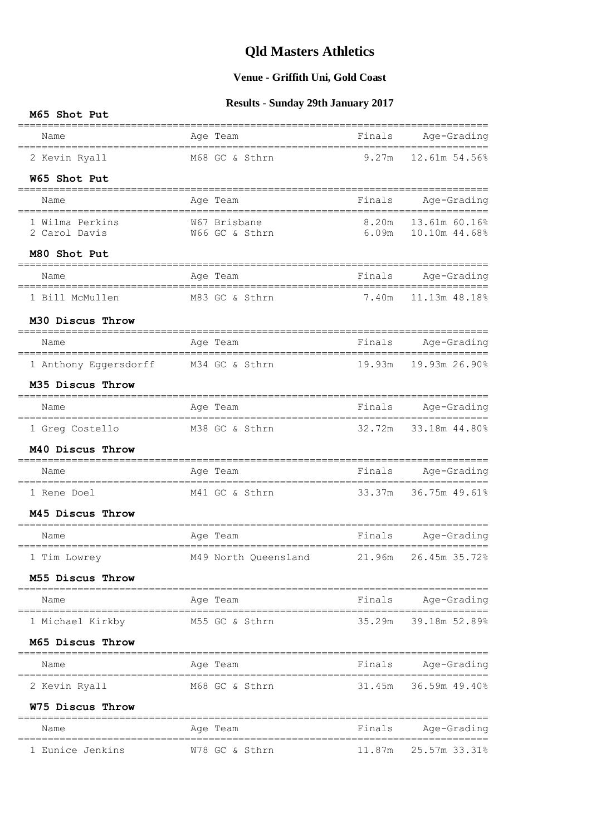## **Venue - Griffith Uni, Gold Coast**

## **Results - Sunday 29th January 2017**

| M65 Shot Put                                 |                                |        |                                                |  |
|----------------------------------------------|--------------------------------|--------|------------------------------------------------|--|
| Name                                         | Age Team                       | Finals | Age-Grading                                    |  |
| 2 Kevin Ryall                                | M68 GC & Sthrn                 |        | 9.27m 12.61m 54.56%                            |  |
| W65 Shot Put                                 |                                |        |                                                |  |
| Name                                         | Age Team                       |        | Finals Age-Grading                             |  |
| 1 Wilma Perkins<br>2 Carol Davis             | W67 Brisbane<br>W66 GC & Sthrn |        | 8.20m  13.61m  60.16%<br>6.09m  10.10m  44.68% |  |
| M80 Shot Put                                 |                                |        | -===============================               |  |
| Name<br>==================================== | Age Team                       |        | Finals Age-Grading                             |  |
| 1 Bill McMullen                              | M83 GC & Sthrn                 | 7.40m  | 11.13m 48.18%                                  |  |
| M30 Discus Throw                             |                                |        |                                                |  |
| Name                                         | Age Team                       |        | Finals Age-Grading                             |  |
| 1 Anthony Eggersdorff                        | M34 GC & Sthrn                 |        | 19.93m  19.93m  26.90%                         |  |
| M35 Discus Throw                             |                                |        |                                                |  |
| Name                                         | Age Team                       |        | Finals Age-Grading                             |  |
| 1 Greg Costello                              | M38 GC & Sthrn                 |        | $===$<br>32.72m 33.18m 44.80%                  |  |
| M40 Discus Throw                             |                                |        |                                                |  |
| Name                                         | Age Team                       | Finals | Age-Grading                                    |  |
| 1 Rene Doel                                  | M41 GC & Sthrn                 | 33.37m | 36.75m 49.61%                                  |  |
| M45 Discus Throw                             | =============                  |        | ============                                   |  |
| Name                                         | Age Team                       |        | Finals Age-Grading                             |  |
| 1 Tim Lowrey                                 | M49 North Queensland           |        | 21.96m 26.45m 35.72%                           |  |
| M55 Discus Throw                             |                                |        |                                                |  |
| Name                                         | Age Team                       |        | Finals Age-Grading                             |  |
| 1 Michael Kirkby                             | M55 GC & Sthrn                 |        | 35.29m 39.18m 52.89%                           |  |
| M65 Discus Throw                             |                                |        |                                                |  |
| Name                                         | Age Team                       |        | Finals Age-Grading                             |  |
| 2 Kevin Ryall                                | M68 GC & Sthrn                 |        | 31.45m 36.59m 49.40%                           |  |
| W75 Discus Throw                             |                                |        |                                                |  |
| Name                                         | Age Team                       | Finals | Age-Grading                                    |  |
| 1 Eunice Jenkins                             | W78 GC & Sthrn                 |        | 11.87m   25.57m   33.31%                       |  |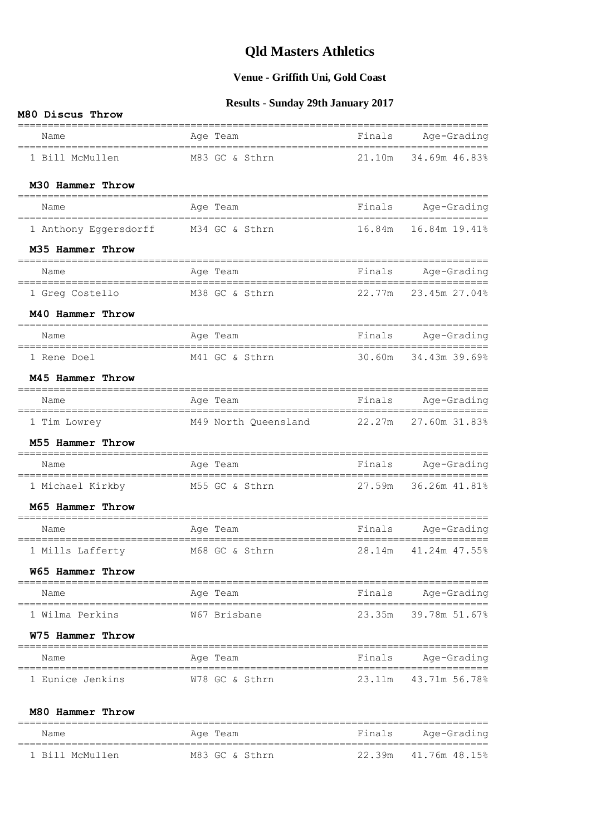#### **Venue - Griffith Uni, Gold Coast**

#### **Results - Sunday 29th January 2017**

#### **M80 Discus Throw**

| Name                                                 | Age Team                                  |        | Finals Age-Grading                                        |
|------------------------------------------------------|-------------------------------------------|--------|-----------------------------------------------------------|
| =================================<br>1 Bill McMullen | M83 GC & Sthrn                            |        | 21.10m 34.69m 46.83%                                      |
| M30 Hammer Throw                                     |                                           |        |                                                           |
| ===================<br>Name                          | ===============<br>Age Team               |        | ___________________________________<br>Finals Age-Grading |
| 1 Anthony Eggersdorff M34 GC & Sthrn                 |                                           |        | 16.84m  16.84m  19.41%                                    |
| M35 Hammer Throw                                     |                                           |        |                                                           |
| Name                                                 | Age Team                                  | Finals | Age-Grading                                               |
| 1 Greg Costello                                      | M38 GC & Sthrn                            |        | 22.77m 23.45m 27.04%                                      |
| M40 Hammer Throw                                     |                                           |        |                                                           |
| Name                                                 | Finals Age-Grading<br>Age Team            |        |                                                           |
| 1 Rene Doel                                          | M41 GC & Sthrn                            |        | 30.60m 34.43m 39.69%                                      |
| M45 Hammer Throw                                     |                                           |        |                                                           |
| Name                                                 | Age Team                                  |        | Finals Age-Grading                                        |
| 1 Tim Lowrey                                         | M49 North Queensland 22.27m 27.60m 31.83% |        |                                                           |
| M55 Hammer Throw                                     | ------------                              |        | ================                                          |
| Name                                                 | Age Team                                  |        | Finals Age-Grading                                        |
| 1 Michael Kirkby M55 GC & Sthrn                      |                                           |        | 27.59m 36.26m 41.81%                                      |
| M65 Hammer Throw                                     |                                           |        |                                                           |
| Name<br>====================                         | Age Team<br>------------------------      |        | Finals Age-Grading                                        |
| 1 Mills Lafferty                                     | M68 GC & Sthrn                            | 28.14m | 41.24m 47.55%                                             |
| W65 Hammer Throw                                     |                                           |        | ==================================                        |
| Name                                                 | Age Team                                  |        | Finals Age-Grading                                        |
| 1 Wilma Perkins                                      | W67 Brisbane                              |        | 23.35m 39.78m 51.67%                                      |
| W75 Hammer Throw                                     |                                           |        |                                                           |
| Name                                                 | Age Team                                  |        | Finals Age-Grading                                        |
| 1 Eunice Jenkins                                     | W78 GC & Sthrn                            |        | 23.11m 43.71m 56.78%                                      |
|                                                      |                                           |        |                                                           |
| M80 Hammer Throw                                     |                                           |        |                                                           |
| Name                                                 | Age Team                                  | Finals | Age-Grading<br>___________________                        |

1 Bill McMullen M83 GC & Sthrn 22.39m 41.76m 48.15%